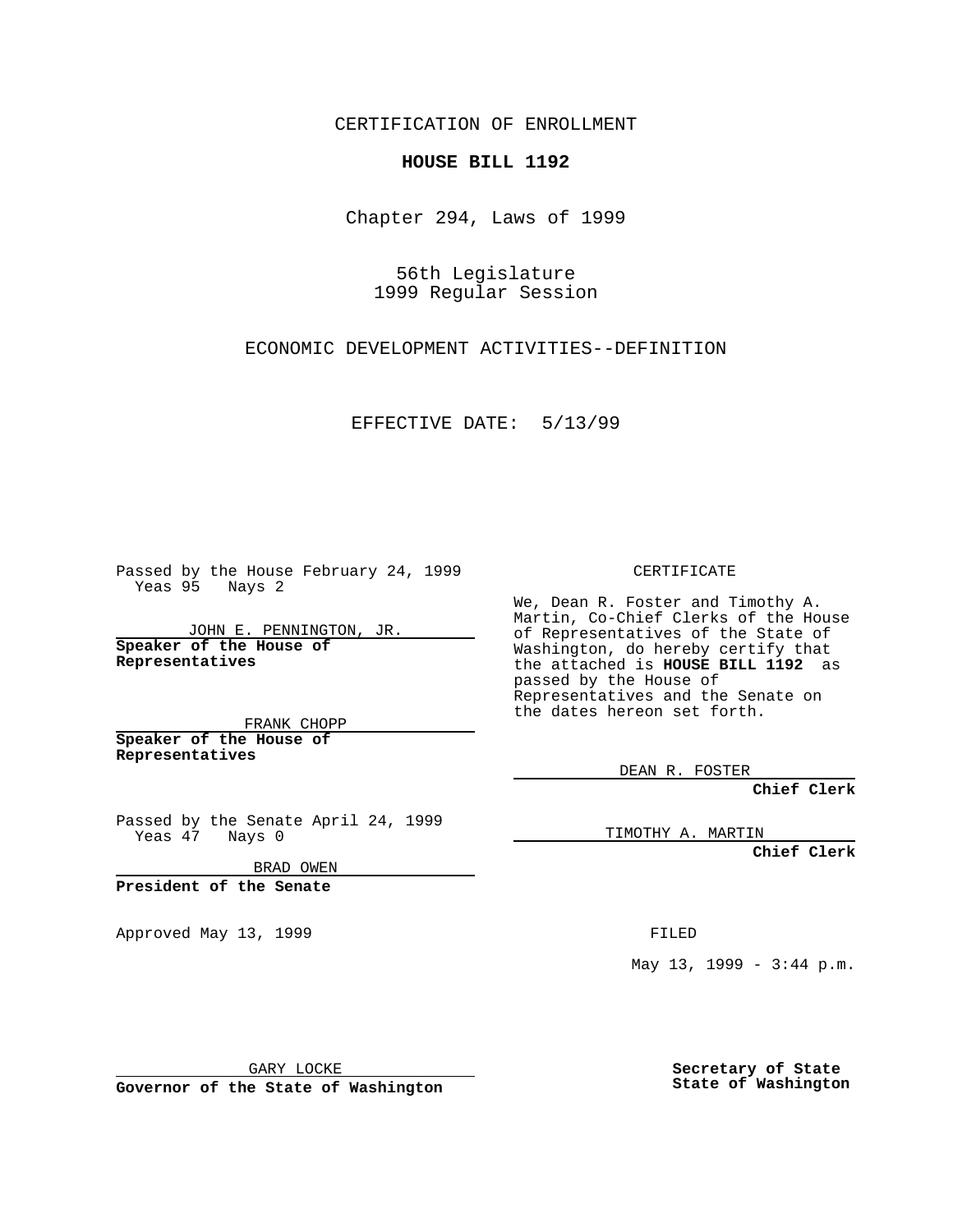CERTIFICATION OF ENROLLMENT

## **HOUSE BILL 1192**

Chapter 294, Laws of 1999

56th Legislature 1999 Regular Session

ECONOMIC DEVELOPMENT ACTIVITIES--DEFINITION

EFFECTIVE DATE: 5/13/99

Passed by the House February 24, 1999 Yeas 95 Nays 2

JOHN E. PENNINGTON, JR. **Speaker of the House of Representatives**

FRANK CHOPP **Speaker of the House of Representatives**

Passed by the Senate April 24, 1999 Yeas 47 Nays 0

BRAD OWEN

**President of the Senate**

Approved May 13, 1999 **FILED** 

CERTIFICATE

We, Dean R. Foster and Timothy A. Martin, Co-Chief Clerks of the House of Representatives of the State of Washington, do hereby certify that the attached is **HOUSE BILL 1192** as passed by the House of Representatives and the Senate on the dates hereon set forth.

DEAN R. FOSTER

**Chief Clerk**

TIMOTHY A. MARTIN

**Chief Clerk**

May 13, 1999 - 3:44 p.m.

GARY LOCKE

**Governor of the State of Washington**

**Secretary of State State of Washington**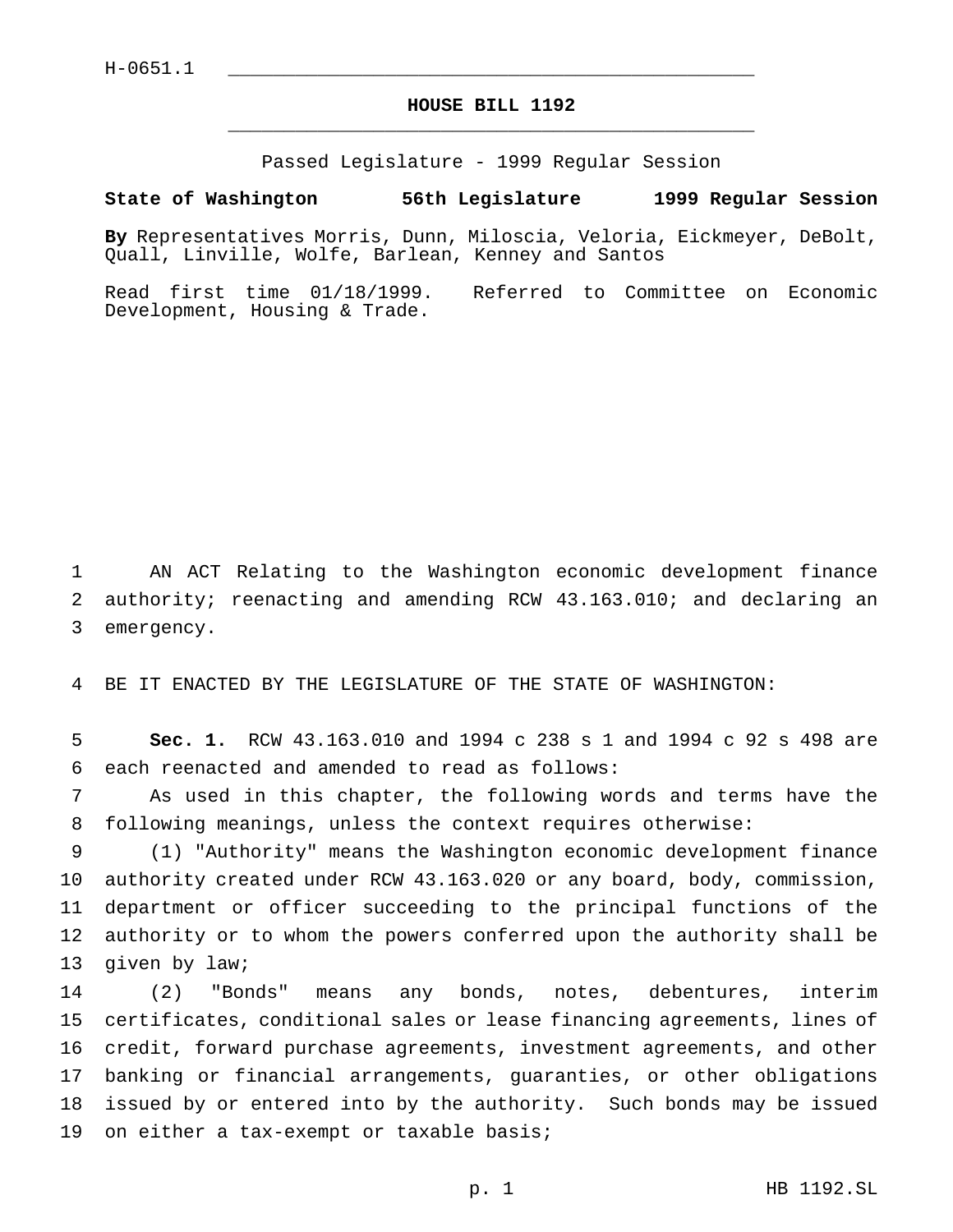## **HOUSE BILL 1192** \_\_\_\_\_\_\_\_\_\_\_\_\_\_\_\_\_\_\_\_\_\_\_\_\_\_\_\_\_\_\_\_\_\_\_\_\_\_\_\_\_\_\_\_\_\_\_

Passed Legislature - 1999 Regular Session

## **State of Washington 56th Legislature 1999 Regular Session**

**By** Representatives Morris, Dunn, Miloscia, Veloria, Eickmeyer, DeBolt, Quall, Linville, Wolfe, Barlean, Kenney and Santos

Read first time 01/18/1999. Referred to Committee on Economic Development, Housing & Trade.

1 AN ACT Relating to the Washington economic development finance 2 authority; reenacting and amending RCW 43.163.010; and declaring an 3 emergency.

4 BE IT ENACTED BY THE LEGISLATURE OF THE STATE OF WASHINGTON:

5 **Sec. 1.** RCW 43.163.010 and 1994 c 238 s 1 and 1994 c 92 s 498 are 6 each reenacted and amended to read as follows:

7 As used in this chapter, the following words and terms have the 8 following meanings, unless the context requires otherwise:

 (1) "Authority" means the Washington economic development finance authority created under RCW 43.163.020 or any board, body, commission, department or officer succeeding to the principal functions of the authority or to whom the powers conferred upon the authority shall be 13 given by law;

 (2) "Bonds" means any bonds, notes, debentures, interim certificates, conditional sales or lease financing agreements, lines of credit, forward purchase agreements, investment agreements, and other banking or financial arrangements, guaranties, or other obligations issued by or entered into by the authority. Such bonds may be issued 19 on either a tax-exempt or taxable basis;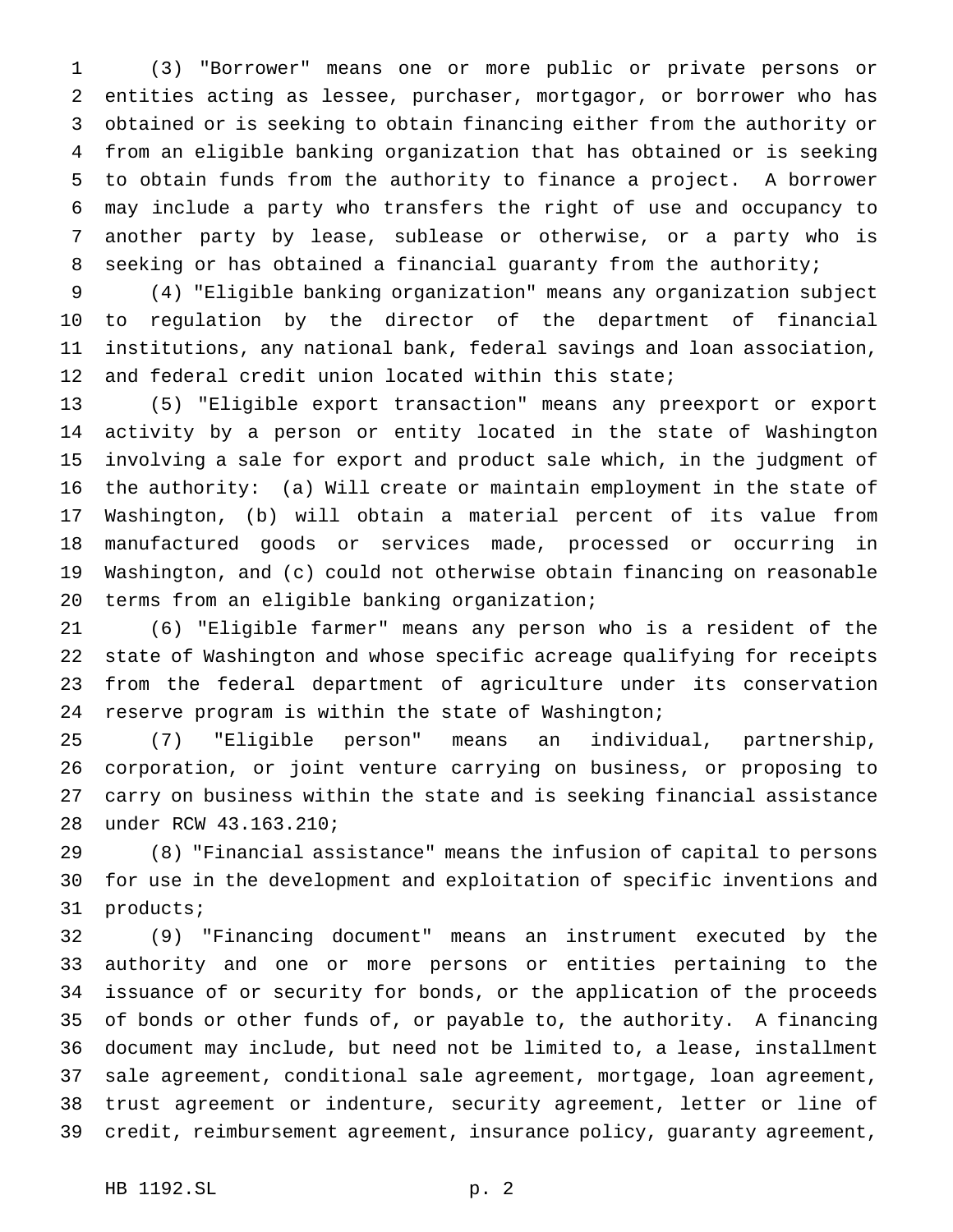(3) "Borrower" means one or more public or private persons or entities acting as lessee, purchaser, mortgagor, or borrower who has obtained or is seeking to obtain financing either from the authority or from an eligible banking organization that has obtained or is seeking to obtain funds from the authority to finance a project. A borrower may include a party who transfers the right of use and occupancy to another party by lease, sublease or otherwise, or a party who is seeking or has obtained a financial guaranty from the authority;

 (4) "Eligible banking organization" means any organization subject to regulation by the director of the department of financial institutions, any national bank, federal savings and loan association, and federal credit union located within this state;

 (5) "Eligible export transaction" means any preexport or export activity by a person or entity located in the state of Washington involving a sale for export and product sale which, in the judgment of the authority: (a) Will create or maintain employment in the state of Washington, (b) will obtain a material percent of its value from manufactured goods or services made, processed or occurring in Washington, and (c) could not otherwise obtain financing on reasonable terms from an eligible banking organization;

 (6) "Eligible farmer" means any person who is a resident of the state of Washington and whose specific acreage qualifying for receipts from the federal department of agriculture under its conservation reserve program is within the state of Washington;

 (7) "Eligible person" means an individual, partnership, corporation, or joint venture carrying on business, or proposing to carry on business within the state and is seeking financial assistance under RCW 43.163.210;

 (8) "Financial assistance" means the infusion of capital to persons for use in the development and exploitation of specific inventions and products;

 (9) "Financing document" means an instrument executed by the authority and one or more persons or entities pertaining to the issuance of or security for bonds, or the application of the proceeds of bonds or other funds of, or payable to, the authority. A financing document may include, but need not be limited to, a lease, installment sale agreement, conditional sale agreement, mortgage, loan agreement, trust agreement or indenture, security agreement, letter or line of credit, reimbursement agreement, insurance policy, guaranty agreement,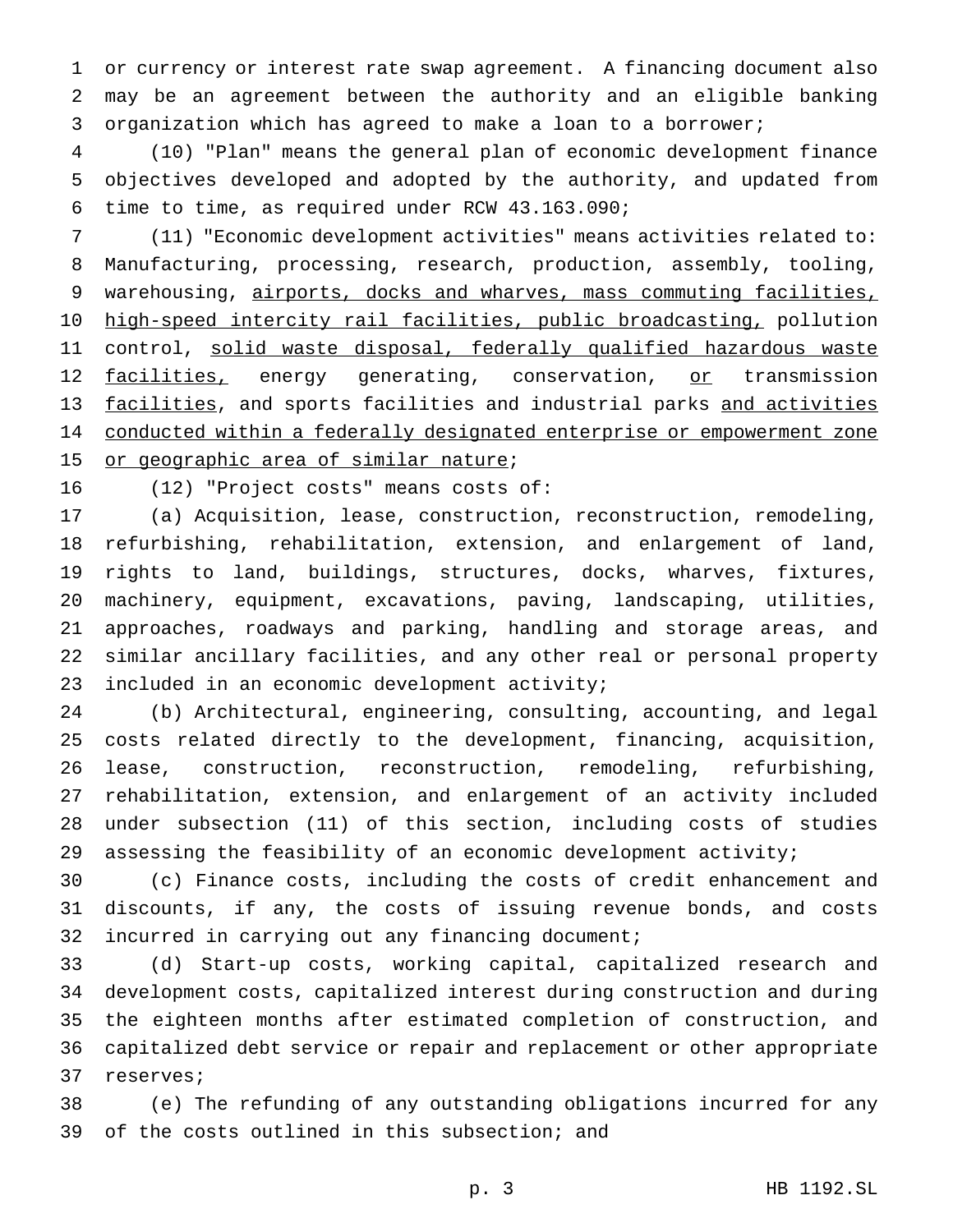or currency or interest rate swap agreement. A financing document also may be an agreement between the authority and an eligible banking organization which has agreed to make a loan to a borrower;

 (10) "Plan" means the general plan of economic development finance objectives developed and adopted by the authority, and updated from time to time, as required under RCW 43.163.090;

 (11) "Economic development activities" means activities related to: Manufacturing, processing, research, production, assembly, tooling, 9 warehousing, airports, docks and wharves, mass commuting facilities, 10 high-speed intercity rail facilities, public broadcasting, pollution 11 control, solid waste disposal, federally qualified hazardous waste 12 facilities, energy generating, conservation, or transmission 13 facilities, and sports facilities and industrial parks and activities conducted within a federally designated enterprise or empowerment zone 15 or geographic area of similar nature;

(12) "Project costs" means costs of:

 (a) Acquisition, lease, construction, reconstruction, remodeling, refurbishing, rehabilitation, extension, and enlargement of land, rights to land, buildings, structures, docks, wharves, fixtures, machinery, equipment, excavations, paving, landscaping, utilities, approaches, roadways and parking, handling and storage areas, and similar ancillary facilities, and any other real or personal property included in an economic development activity;

 (b) Architectural, engineering, consulting, accounting, and legal costs related directly to the development, financing, acquisition, lease, construction, reconstruction, remodeling, refurbishing, rehabilitation, extension, and enlargement of an activity included under subsection (11) of this section, including costs of studies assessing the feasibility of an economic development activity;

 (c) Finance costs, including the costs of credit enhancement and discounts, if any, the costs of issuing revenue bonds, and costs incurred in carrying out any financing document;

 (d) Start-up costs, working capital, capitalized research and development costs, capitalized interest during construction and during the eighteen months after estimated completion of construction, and capitalized debt service or repair and replacement or other appropriate reserves;

 (e) The refunding of any outstanding obligations incurred for any of the costs outlined in this subsection; and